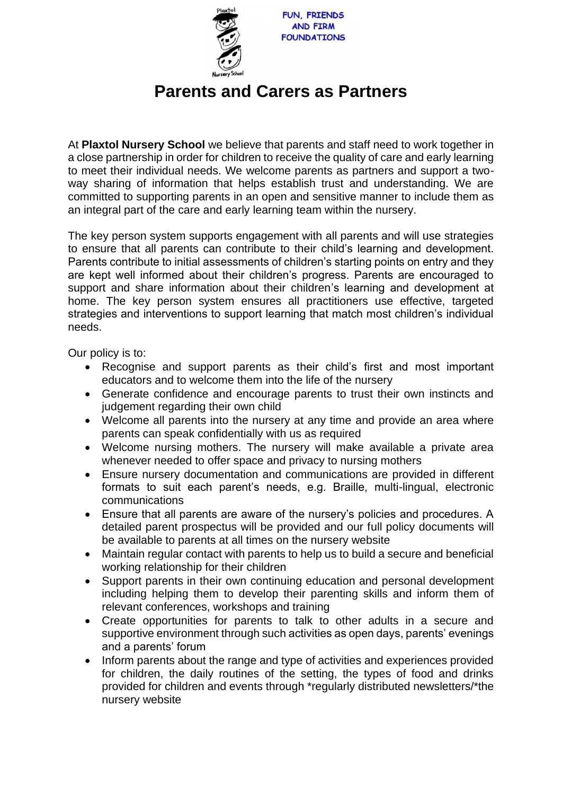

## **Parents and Carers as Partners**

At **Plaxtol Nursery School** we believe that parents and staff need to work together in a close partnership in order for children to receive the quality of care and early learning to meet their individual needs. We welcome parents as partners and support a twoway sharing of information that helps establish trust and understanding. We are committed to supporting parents in an open and sensitive manner to include them as an integral part of the care and early learning team within the nursery.

The key person system supports engagement with all parents and will use strategies to ensure that all parents can contribute to their child's learning and development. Parents contribute to initial assessments of children's starting points on entry and they are kept well informed about their children's progress. Parents are encouraged to support and share information about their children's learning and development at home. The key person system ensures all practitioners use effective, targeted strategies and interventions to support learning that match most children's individual needs.

Our policy is to:

- Recognise and support parents as their child's first and most important educators and to welcome them into the life of the nursery
- Generate confidence and encourage parents to trust their own instincts and judgement regarding their own child
- Welcome all parents into the nursery at any time and provide an area where parents can speak confidentially with us as required
- Welcome nursing mothers. The nursery will make available a private area whenever needed to offer space and privacy to nursing mothers
- Ensure nursery documentation and communications are provided in different formats to suit each parent's needs, e.g. Braille, multi-lingual, electronic communications
- Ensure that all parents are aware of the nursery's policies and procedures. A detailed parent prospectus will be provided and our full policy documents will be available to parents at all times on the nursery website
- Maintain regular contact with parents to help us to build a secure and beneficial working relationship for their children
- Support parents in their own continuing education and personal development including helping them to develop their parenting skills and inform them of relevant conferences, workshops and training
- Create opportunities for parents to talk to other adults in a secure and supportive environment through such activities as open days, parents' evenings and a parents' forum
- Inform parents about the range and type of activities and experiences provided for children, the daily routines of the setting, the types of food and drinks provided for children and events through \*regularly distributed newsletters/\*the nursery website